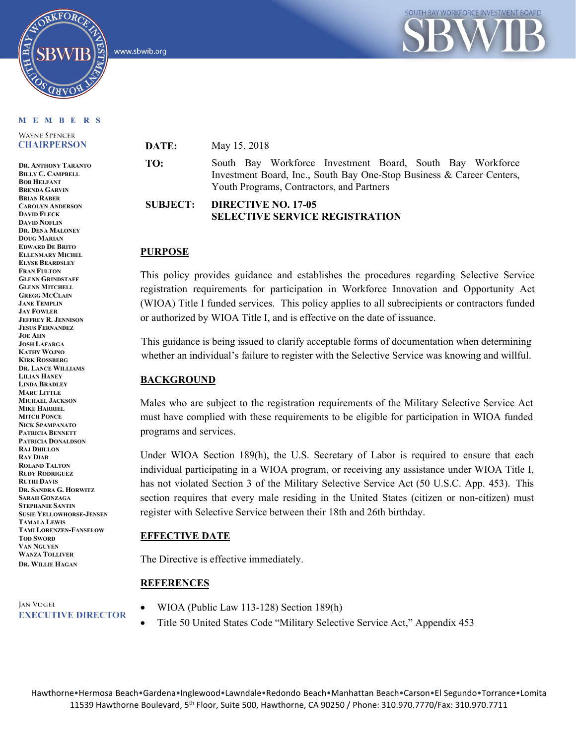

www.sbwib.org



#### M E M B E R S

**WAYNE SPENCER CHAIRPERSON** 

**DR. ANTHONY TARANTO BILLY C. CAMPBELL BOB HELFANT BRENDA GARVIN BRIAN RABER CAROLYN ANDERSON DAVID FLECK DAVID NOFLIN DR. DENA MALONEY DOUG MARIAN EDWARD DE BRITO ELLENMARY MICHEL ELYSE BEARDSLEY FRAN FULTON GLENN GRINDSTAFF GLENN MITCHELL GREGG MCCLAIN JANE TEMPLIN JAY FOWLER JEFFREY R. JENNISON JESUS FERNANDEZ JOE AHN JOSH LAFARGA KATHY WOJNO KIRK ROSSBERG DR. LANCE WILLIAMS LILIAN HANEY LINDA BRADLEY MARC LITTLE MICHAEL JACKSON MIKE HARRIEL MITCH PONCE NICK SPAMPANATO PATRICIA BENNETT PATRICIA DONALDSON RAJ DHILLON RAY DIAB ROLAND TALTON RUDY RODRIGUEZ RUTHI DAVIS DR. SANDRA G. HORWITZ SARAH GONZAGA STEPHANIE SANTIN SUSIE YELLOWHORSE-JENSEN TAMALA LEWIS TAMI LORENZEN-FANSELOW TOD SWORD VAN NGUYEN WANZA TOLLIVER DR. WILLIE HAGAN**

JAN VOGEL **EXECUTIVE DIRECTOR**  **DATE:** May 15, 2018

**TO:** South Bay Workforce Investment Board, South Bay Workforce Investment Board, Inc., South Bay One-Stop Business & Career Centers, Youth Programs, Contractors, and Partners

## **SUBJECT: DIRECTIVE NO. 17-05 SELECTIVE SERVICE REGISTRATION**

## **PURPOSE**

This policy provides guidance and establishes the procedures regarding Selective Service registration requirements for participation in Workforce Innovation and Opportunity Act (WIOA) Title I funded services. This policy applies to all subrecipients or contractors funded or authorized by WIOA Title I, and is effective on the date of issuance.

This guidance is being issued to clarify acceptable forms of documentation when determining whether an individual's failure to register with the Selective Service was knowing and willful.

## **BACKGROUND**

Males who are subject to the registration requirements of the Military Selective Service Act must have complied with these requirements to be eligible for participation in WIOA funded programs and services.

Under WIOA Section 189(h), the U.S. Secretary of Labor is required to ensure that each individual participating in a WIOA program, or receiving any assistance under WIOA Title I, has not violated Section 3 of the Military Selective Service Act (50 U.S.C. App. 453). This section requires that every male residing in the United States (citizen or non-citizen) must register with Selective Service between their 18th and 26th birthday.

## **EFFECTIVE DATE**

The Directive is effective immediately.

## **REFERENCES**

- WIOA (Public Law 113-128) Section 189(h)
- Title 50 United States Code "Military Selective Service Act," Appendix 453

Hawthorne•Hermosa Beach•Gardena•Inglewood•Lawndale•Redondo Beach•Manhattan Beach•Carson•El Segundo•Torrance•Lomita 11539 Hawthorne Boulevard, 5th Floor, Suite 500, Hawthorne, CA 90250 / Phone: 310.970.7770/Fax: 310.970.7711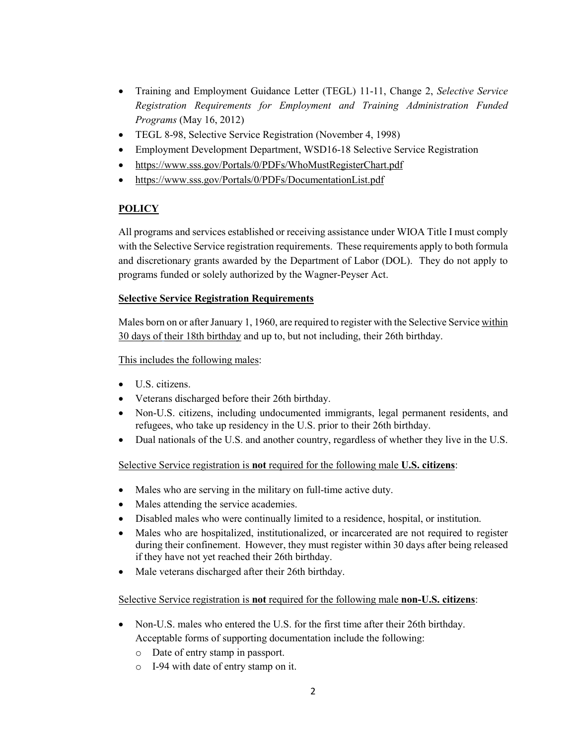- Training and Employment Guidance Letter (TEGL) 11-11, Change 2, *Selective Service Registration Requirements for Employment and Training Administration Funded Programs* (May 16, 2012)
- TEGL 8-98, Selective Service Registration (November 4, 1998)
- Employment Development Department, WSD16-18 Selective Service Registration
- <https://www.sss.gov/Portals/0/PDFs/WhoMustRegisterChart.pdf>
- <https://www.sss.gov/Portals/0/PDFs/DocumentationList.pdf>

# **POLICY**

All programs and services established or receiving assistance under WIOA Title I must comply with the Selective Service registration requirements. These requirements apply to both formula and discretionary grants awarded by the Department of Labor (DOL). They do not apply to programs funded or solely authorized by the Wagner-Peyser Act.

## **Selective Service Registration Requirements**

Males born on or after January 1, 1960, are required to register with the Selective Service within 30 days of their 18th birthday and up to, but not including, their 26th birthday.

## This includes the following males:

- U.S. citizens.
- Veterans discharged before their 26th birthday.
- Non-U.S. citizens, including undocumented immigrants, legal permanent residents, and refugees, who take up residency in the U.S. prior to their 26th birthday.
- Dual nationals of the U.S. and another country, regardless of whether they live in the U.S.

# Selective Service registration is **not** required for the following male **U.S. citizens**:

- Males who are serving in the military on full-time active duty.
- Males attending the service academies.
- Disabled males who were continually limited to a residence, hospital, or institution.
- Males who are hospitalized, institutionalized, or incarcerated are not required to register during their confinement. However, they must register within 30 days after being released if they have not yet reached their 26th birthday.
- Male veterans discharged after their 26th birthday.

## Selective Service registration is **not** required for the following male **non-U.S. citizens**:

- Non-U.S. males who entered the U.S. for the first time after their 26th birthday. Acceptable forms of supporting documentation include the following:
	- o Date of entry stamp in passport.
	- o I-94 with date of entry stamp on it.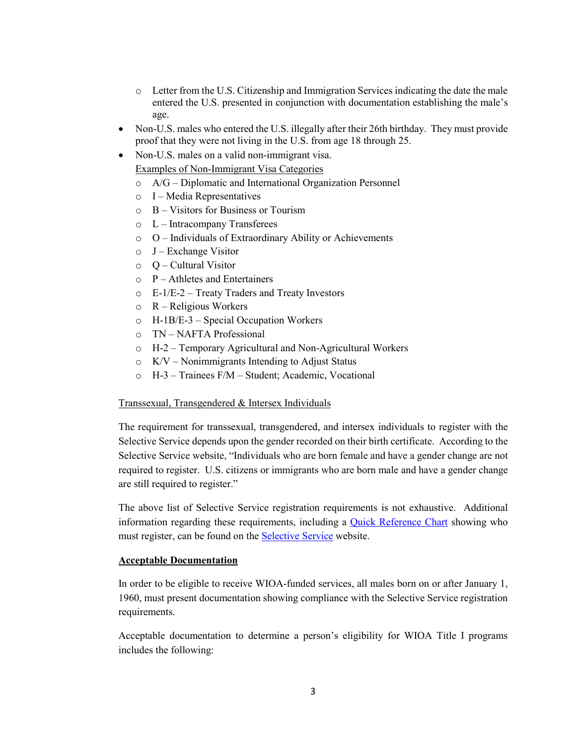- $\circ$  Letter from the U.S. Citizenship and Immigration Services indicating the date the male entered the U.S. presented in conjunction with documentation establishing the male's age.
- Non-U.S. males who entered the U.S. illegally after their 26th birthday. They must provide proof that they were not living in the U.S. from age 18 through 25.
- Non-U.S. males on a valid non-immigrant visa. Examples of Non-Immigrant Visa Categories
	- o A/G Diplomatic and International Organization Personnel
	- o I Media Representatives
	- o B Visitors for Business or Tourism
	- $\circ$  L Intracompany Transferees
	- o O Individuals of Extraordinary Ability or Achievements
	- $O$  J Exchange Visitor
	- $\circ$  O Cultural Visitor
	- $\circ$  P Athletes and Entertainers
	- o E-1/E-2 Treaty Traders and Treaty Investors
	- o R Religious Workers
	- o H-1B/E-3 Special Occupation Workers
	- o TN NAFTA Professional
	- o H-2 Temporary Agricultural and Non-Agricultural Workers
	- o K/V Nonimmigrants Intending to Adjust Status
	- o H-3 Trainees F/M Student; Academic, Vocational

### Transsexual, Transgendered & Intersex Individuals

The requirement for transsexual, transgendered, and intersex individuals to register with the Selective Service depends upon the gender recorded on their birth certificate. According to the Selective Service website, "Individuals who are born female and have a gender change are not required to register. U.S. citizens or immigrants who are born male and have a gender change are still required to register."

The above list of Selective Service registration requirements is not exhaustive. Additional information regarding these requirements, including a **Quick Reference Chart** showing who must register, can be found on the [Selective Service](http://www.sss.gov/) website.

#### **Acceptable Documentation**

In order to be eligible to receive WIOA-funded services, all males born on or after January 1, 1960, must present documentation showing compliance with the Selective Service registration requirements.

Acceptable documentation to determine a person's eligibility for WIOA Title I programs includes the following: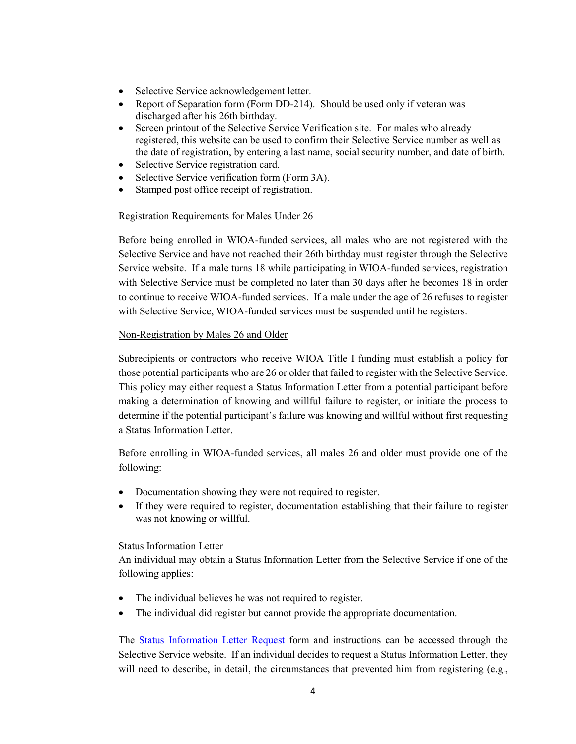- Selective Service acknowledgement letter.
- Report of Separation form (Form DD-214). Should be used only if veteran was discharged after his 26th birthday.
- Screen printout of the [Selective Service Verification](https://www.sss.gov/) site. For males who already registered, this website can be used to confirm their Selective Service number as well as the date of registration, by entering a last name, social security number, and date of birth.
- Selective Service registration card.
- Selective Service verification form (Form 3A).
- Stamped post office receipt of registration.

## Registration Requirements for Males Under 26

Before being enrolled in WIOA-funded services, all males who are not registered with the Selective Service and have not reached their 26th birthday must register through the Selective Service website. If a male turns 18 while participating in WIOA-funded services, registration with Selective Service must be completed no later than 30 days after he becomes 18 in order to continue to receive WIOA-funded services. If a male under the age of 26 refuses to register with Selective Service, WIOA-funded services must be suspended until he registers.

### Non-Registration by Males 26 and Older

Subrecipients or contractors who receive WIOA Title I funding must establish a policy for those potential participants who are 26 or older that failed to register with the Selective Service. This policy may either request a Status Information Letter from a potential participant before making a determination of knowing and willful failure to register, or initiate the process to determine if the potential participant's failure was knowing and willful without first requesting a Status Information Letter.

Before enrolling in WIOA-funded services, all males 26 and older must provide one of the following:

- Documentation showing they were not required to register.
- If they were required to register, documentation establishing that their failure to register was not knowing or willful.

#### Status Information Letter

An individual may obtain a Status Information Letter from the Selective Service if one of the following applies:

- The individual believes he was not required to register.
- The individual did register but cannot provide the appropriate documentation.

The **Status Information Letter Request** form and instructions can be accessed through the Selective Service website. If an individual decides to request a Status Information Letter, they will need to describe, in detail, the circumstances that prevented him from registering (e.g.,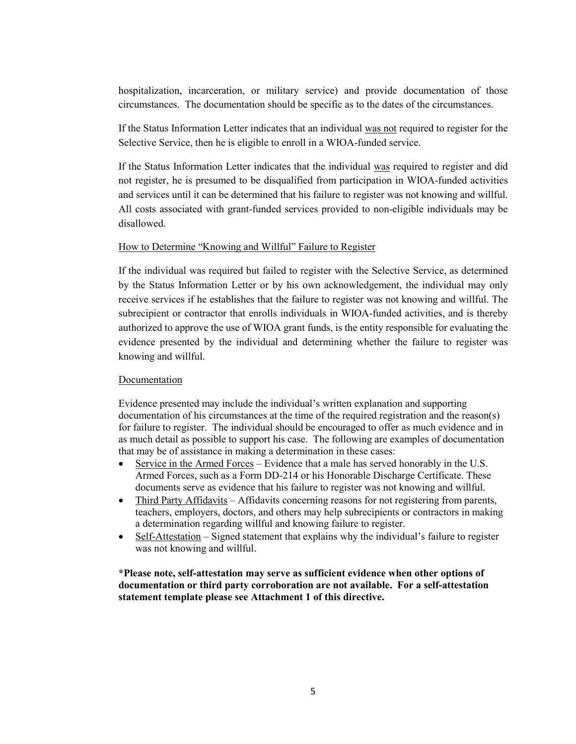hospitalization, incarceration, or military service) and provide documentation of those circumstances. The documentation should be specific as to the dates of the circumstances.

If the Status Information Letter indicates that an individual was not required to register for the Selective Service, then he is eligible to enroll in a WIOA-funded service.

If the Status Information Letter indicates that the individual was required to register and did not register, he is presumed to be disqualified from participation in WIOA-funded activities and services until it can be determined that his failure to register was not knowing and willful. All costs associated with grant-funded services provided to non-eligible individuals may be disallowed.

### How to Determine "Knowing and Willful" Failure to Register

If the individual was required but failed to register with the Selective Service, as determined by the Status Information Letter or by his own acknowledgement, the individual may only receive services if he establishes that the failure to register was not knowing and willful. The subrecipient or contractor that enrolls individuals in WIOA-funded activities, and is thereby authorized to approve the use of WIOA grant funds, is the entity responsible for evaluating the evidence presented by the individual and determining whether the failure to register was knowing and willful.

## Documentation

Evidence presented may include the individual's written explanation and supporting documentation of his circumstances at the time of the required registration and the reason(s) for failure to register. The individual should be encouraged to offer as much evidence and in as much detail as possible to support his case. The following are examples of documentation that may be of assistance in making a determination in these cases:

- Service in the Armed Forces Evidence that a male has served honorably in the U.S. Armed Forces, such as a Form DD-214 or his Honorable Discharge Certificate. These documents serve as evidence that his failure to register was not knowing and willful.
- Third Party Affidavits Affidavits concerning reasons for not registering from parents, teachers, employers, doctors, and others may help subrecipients or contractors in making a determination regarding willful and knowing failure to register.
- Self-Attestation Signed statement that explains why the individual's failure to register was not knowing and willful.

**\*Please note, self-attestation may serve as sufficient evidence when other options of documentation or third party corroboration are not available. For a self-attestation statement template please see Attachment 1 of this directive.**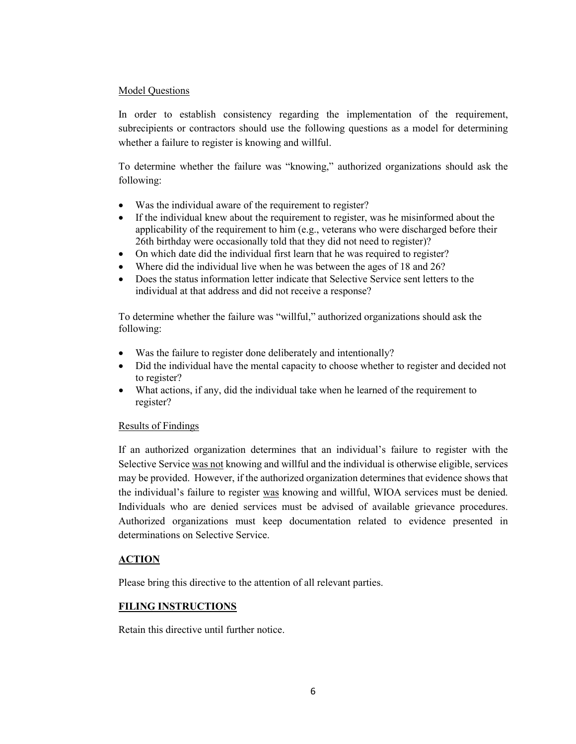## Model Questions

In order to establish consistency regarding the implementation of the requirement, subrecipients or contractors should use the following questions as a model for determining whether a failure to register is knowing and willful.

To determine whether the failure was "knowing," authorized organizations should ask the following:

- Was the individual aware of the requirement to register?
- If the individual knew about the requirement to register, was he misinformed about the applicability of the requirement to him (e.g., veterans who were discharged before their 26th birthday were occasionally told that they did not need to register)?
- On which date did the individual first learn that he was required to register?
- Where did the individual live when he was between the ages of 18 and 26?
- Does the status information letter indicate that Selective Service sent letters to the individual at that address and did not receive a response?

To determine whether the failure was "willful," authorized organizations should ask the following:

- Was the failure to register done deliberately and intentionally?
- Did the individual have the mental capacity to choose whether to register and decided not to register?
- What actions, if any, did the individual take when he learned of the requirement to register?

## Results of Findings

If an authorized organization determines that an individual's failure to register with the Selective Service was not knowing and willful and the individual is otherwise eligible, services may be provided. However, if the authorized organization determines that evidence shows that the individual's failure to register was knowing and willful, WIOA services must be denied. Individuals who are denied services must be advised of available grievance procedures. Authorized organizations must keep documentation related to evidence presented in determinations on Selective Service.

# **ACTION**

Please bring this directive to the attention of all relevant parties.

# **FILING INSTRUCTIONS**

Retain this directive until further notice.